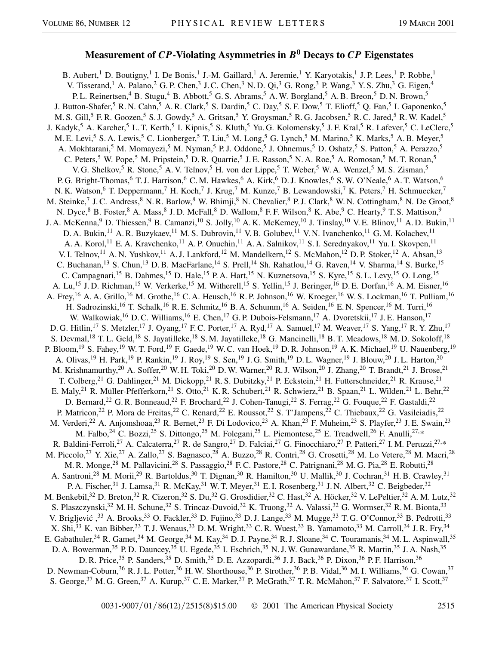## **Measurement of** *CP***-Violating Asymmetries in** *B***<sup>0</sup> Decays to** *CP* **Eigenstates**

B. Aubert,<sup>1</sup> D. Boutigny,<sup>1</sup> I. De Bonis,<sup>1</sup> J.-M. Gaillard,<sup>1</sup> A. Jeremie,<sup>1</sup> Y. Karyotakis,<sup>1</sup> J.P. Lees,<sup>1</sup> P. Robbe,<sup>1</sup> V. Tisserand,<sup>1</sup> A. Palano,<sup>2</sup> G. P. Chen,<sup>3</sup> J. C. Chen,<sup>3</sup> N. D. Qi,<sup>3</sup> G. Rong,<sup>3</sup> P. Wang,<sup>3</sup> Y. S. Zhu,<sup>3</sup> G. Eigen,<sup>4</sup> P. L. Reinertsen,<sup>4</sup> B. Stugu,<sup>4</sup> B. Abbott,<sup>5</sup> G. S. Abrams,<sup>5</sup> A. W. Borgland,<sup>5</sup> A. B. Breon,<sup>5</sup> D. N. Brown,<sup>5</sup> J. Button-Shafer,<sup>5</sup> R. N. Cahn,<sup>5</sup> A. R. Clark,<sup>5</sup> S. Dardin,<sup>5</sup> C. Day,<sup>5</sup> S. F. Dow,<sup>5</sup> T. Elioff,<sup>5</sup> Q. Fan,<sup>5</sup> I. Gaponenko,<sup>5</sup> M. S. Gill,<sup>5</sup> F. R. Goozen,<sup>5</sup> S. J. Gowdy,<sup>5</sup> A. Gritsan,<sup>5</sup> Y. Groysman,<sup>5</sup> R. G. Jacobsen,<sup>5</sup> R. C. Jared,<sup>5</sup> R. W. Kadel,<sup>5</sup> J. Kadyk,<sup>5</sup> A. Karcher,<sup>5</sup> L. T. Kerth,<sup>5</sup> I. Kipnis,<sup>5</sup> S. Kluth,<sup>5</sup> Yu. G. Kolomensky,<sup>5</sup> J. F. Kral,<sup>5</sup> R. Lafever,<sup>5</sup> C. LeClerc,<sup>5</sup> M. E. Levi,<sup>5</sup> S. A. Lewis,<sup>5</sup> C. Lionberger,<sup>5</sup> T. Liu,<sup>5</sup> M. Long,<sup>5</sup> G. Lynch,<sup>5</sup> M. Marino,<sup>5</sup> K. Marks,<sup>5</sup> A. B. Meyer,<sup>5</sup> A. Mokhtarani,<sup>5</sup> M. Momayezi,<sup>5</sup> M. Nyman,<sup>5</sup> P. J. Oddone,<sup>5</sup> J. Ohnemus,<sup>5</sup> D. Oshatz,<sup>5</sup> S. Patton,<sup>5</sup> A. Perazzo,<sup>5</sup> C. Peters,<sup>5</sup> W. Pope,<sup>5</sup> M. Pripstein,<sup>5</sup> D. R. Quarrie,<sup>5</sup> J. E. Rasson,<sup>5</sup> N. A. Roe,<sup>5</sup> A. Romosan,<sup>5</sup> M. T. Ronan,<sup>5</sup> V. G. Shelkov,<sup>5</sup> R. Stone,<sup>5</sup> A. V. Telnov,<sup>5</sup> H. von der Lippe,<sup>5</sup> T. Weber,<sup>5</sup> W. A. Wenzel,<sup>5</sup> M. S. Zisman,<sup>5</sup> P. G. Bright-Thomas,<sup>6</sup> T. J. Harrison,<sup>6</sup> C. M. Hawkes,<sup>6</sup> A. Kirk,<sup>6</sup> D. J. Knowles,<sup>6</sup> S. W. O'Neale,<sup>6</sup> A. T. Watson,<sup>6</sup> N. K. Watson,<sup>6</sup> T. Deppermann,<sup>7</sup> H. Koch,<sup>7</sup> J. Krug,<sup>7</sup> M. Kunze,<sup>7</sup> B. Lewandowski,<sup>7</sup> K. Peters,<sup>7</sup> H. Schmuecker,<sup>7</sup> M. Steinke,<sup>7</sup> J. C. Andress,<sup>8</sup> N. R. Barlow,<sup>8</sup> W. Bhimji,<sup>8</sup> N. Chevalier,<sup>8</sup> P. J. Clark,<sup>8</sup> W. N. Cottingham,<sup>8</sup> N. De Groot,<sup>8</sup> N. Dyce, <sup>8</sup> B. Foster, <sup>8</sup> A. Mass, <sup>8</sup> J. D. McFall, <sup>8</sup> D. Wallom, <sup>8</sup> F. F. Wilson, <sup>8</sup> K. Abe, <sup>9</sup> C. Hearty, <sup>9</sup> T. S. Mattison, <sup>9</sup> J. A. McKenna,<sup>9</sup> D. Thiessen,<sup>9</sup> B. Camanzi,<sup>10</sup> S. Jolly,<sup>10</sup> A. K. McKemey,<sup>10</sup> J. Tinslay,<sup>10</sup> V. E. Blinov,<sup>11</sup> A. D. Bukin,<sup>11</sup> D. A. Bukin, <sup>11</sup> A. R. Buzykaev, <sup>11</sup> M. S. Dubrovin, <sup>11</sup> V. B. Golubev, <sup>11</sup> V. N. Ivanchenko, <sup>11</sup> G. M. Kolachev, <sup>11</sup> A. A. Korol,<sup>11</sup> E. A. Kravchenko,<sup>11</sup> A. P. Onuchin,<sup>11</sup> A. A. Salnikov,<sup>11</sup> S. I. Serednyakov,<sup>11</sup> Yu. I. Skovpen,<sup>11</sup> V. I. Telnov,<sup>11</sup> A. N. Yushkov,<sup>11</sup> A. J. Lankford,<sup>12</sup> M. Mandelkern,<sup>12</sup> S. McMahon,<sup>12</sup> D. P. Stoker,<sup>12</sup> A. Ahsan,<sup>13</sup> C. Buchanan,<sup>13</sup> S. Chun,<sup>13</sup> D. B. MacFarlane,<sup>14</sup> S. Prell,<sup>14</sup> Sh. Rahatlou,<sup>14</sup> G. Raven,<sup>14</sup> V. Sharma,<sup>14</sup> S. Burke,<sup>15</sup> C. Campagnari,<sup>15</sup> B. Dahmes,<sup>15</sup> D. Hale,<sup>15</sup> P. A. Hart,<sup>15</sup> N. Kuznetsova,<sup>15</sup> S. Kyre,<sup>15</sup> S. L. Levy,<sup>15</sup> O. Long,<sup>15</sup> A. Lu,<sup>15</sup> J. D. Richman,<sup>15</sup> W. Verkerke,<sup>15</sup> M. Witherell,<sup>15</sup> S. Yellin,<sup>15</sup> J. Beringer,<sup>16</sup> D. E. Dorfan,<sup>16</sup> A. M. Eisner,<sup>16</sup> A. Frey,<sup>16</sup> A. A. Grillo,<sup>16</sup> M. Grothe,<sup>16</sup> C. A. Heusch,<sup>16</sup> R. P. Johnson,<sup>16</sup> W. Kroeger,<sup>16</sup> W. S. Lockman,<sup>16</sup> T. Pulliam,<sup>16</sup> H. Sadrozinski,<sup>16</sup> T. Schalk,<sup>16</sup> R. E. Schmitz,<sup>16</sup> B. A. Schumm,<sup>16</sup> A. Seiden,<sup>16</sup> E. N. Spencer,<sup>16</sup> M. Turri,<sup>16</sup> W. Walkowiak,<sup>16</sup> D. C. Williams,<sup>16</sup> E. Chen,<sup>17</sup> G. P. Dubois-Felsmann,<sup>17</sup> A. Dvoretskii,<sup>17</sup> J. E. Hanson,<sup>17</sup> D. G. Hitlin,<sup>17</sup> S. Metzler,<sup>17</sup> J. Oyang,<sup>17</sup> F. C. Porter,<sup>17</sup> A. Ryd,<sup>17</sup> A. Samuel,<sup>17</sup> M. Weaver,<sup>17</sup> S. Yang,<sup>17</sup> R. Y. Zhu,<sup>17</sup> S. Devmal,<sup>18</sup> T. L. Geld,<sup>18</sup> S. Jayatilleke,<sup>18</sup> S. M. Jayatilleke,<sup>18</sup> G. Mancinelli,<sup>18</sup> B. T. Meadows,<sup>18</sup> M. D. Sokoloff,<sup>18</sup> P. Bloom,<sup>19</sup> S. Fahey,<sup>19</sup> W. T. Ford,<sup>19</sup> F. Gaede,<sup>19</sup> W. C. van Hoek,<sup>19</sup> D. R. Johnson,<sup>19</sup> A. K. Michael,<sup>19</sup> U. Nauenberg,<sup>19</sup> A. Olivas,<sup>19</sup> H. Park,<sup>19</sup> P. Rankin,<sup>19</sup> J. Roy,<sup>19</sup> S. Sen,<sup>19</sup> J. G. Smith,<sup>19</sup> D. L. Wagner,<sup>19</sup> J. Blouw,<sup>20</sup> J. L. Harton,<sup>20</sup> M. Krishnamurthy,<sup>20</sup> A. Soffer,<sup>20</sup> W. H. Toki,<sup>20</sup> D. W. Warner,<sup>20</sup> R. J. Wilson,<sup>20</sup> J. Zhang,<sup>20</sup> T. Brandt,<sup>21</sup> J. Brose,<sup>21</sup> T. Colberg,<sup>21</sup> G. Dahlinger,<sup>21</sup> M. Dickopp,<sup>21</sup> R. S. Dubitzky,<sup>21</sup> P. Eckstein,<sup>21</sup> H. Futterschneider,<sup>21</sup> R. Krause,<sup>21</sup> E. Maly,<sup>21</sup> R. Müller-Pfefferkorn,<sup>21</sup> S. Otto,<sup>21</sup> K. R. Schubert,<sup>21</sup> R. Schwierz,<sup>21</sup> B. Spaan,<sup>21</sup> L. Wilden,<sup>21</sup> L. Behr,<sup>22</sup> D. Bernard,<sup>22</sup> G. R. Bonneaud,<sup>22</sup> F. Brochard,<sup>22</sup> J. Cohen-Tanugi,<sup>22</sup> S. Ferrag,<sup>22</sup> G. Fouque,<sup>22</sup> F. Gastaldi,<sup>22</sup> P. Matricon,<sup>22</sup> P. Mora de Freitas,<sup>22</sup> C. Renard,<sup>22</sup> E. Roussot,<sup>22</sup> S. T'Jampens,<sup>22</sup> C. Thiebaux,<sup>22</sup> G. Vasileiadis,<sup>22</sup> M. Verderi,<sup>22</sup> A. Anjomshoaa,<sup>23</sup> R. Bernet,<sup>23</sup> F. Di Lodovico,<sup>23</sup> A. Khan,<sup>23</sup> F. Muheim,<sup>23</sup> S. Playfer,<sup>23</sup> J. E. Swain,<sup>23</sup> M. Falbo,<sup>24</sup> C. Bozzi,<sup>25</sup> S. Dittongo,<sup>25</sup> M. Folegani,<sup>25</sup> L. Piemontese,<sup>25</sup> E. Treadwell,<sup>26</sup> F. Anulli,<sup>27,\*</sup> R. Baldini-Ferroli,<sup>27</sup> A. Calcaterra,<sup>27</sup> R. de Sangro,<sup>27</sup> D. Falciai,<sup>27</sup> G. Finocchiaro,<sup>27</sup> P. Patteri,<sup>27</sup> I. M. Peruzzi,<sup>27,\*</sup> M. Piccolo,<sup>27</sup> Y. Xie,<sup>27</sup> A. Zallo,<sup>27</sup> S. Bagnasco,<sup>28</sup> A. Buzzo,<sup>28</sup> R. Contri,<sup>28</sup> G. Crosetti,<sup>28</sup> M. Lo Vetere,<sup>28</sup> M. Macri,<sup>28</sup> M. R. Monge,<sup>28</sup> M. Pallavicini,<sup>28</sup> S. Passaggio,<sup>28</sup> F. C. Pastore,<sup>28</sup> C. Patrignani,<sup>28</sup> M. G. Pia,<sup>28</sup> E. Robutti,<sup>28</sup> A. Santroni,<sup>28</sup> M. Morii,<sup>29</sup> R. Bartoldus,<sup>30</sup> T. Dignan,<sup>30</sup> R. Hamilton,<sup>30</sup> U. Mallik,<sup>30</sup> J. Cochran,<sup>31</sup> H. B. Crawley,<sup>31</sup> P. A. Fischer,<sup>31</sup> J. Lamsa,<sup>31</sup> R. McKay,<sup>31</sup> W. T. Meyer,<sup>31</sup> E. I. Rosenberg,<sup>31</sup> J. N. Albert,<sup>32</sup> C. Beigbeder,<sup>32</sup> M. Benkebil,<sup>32</sup> D. Breton,<sup>32</sup> R. Cizeron,<sup>32</sup> S. Du,<sup>32</sup> G. Grosdidier,<sup>32</sup> C. Hast,<sup>32</sup> A. Höcker,<sup>32</sup> V. LePeltier,<sup>32</sup> A. M. Lutz,<sup>32</sup> S. Plaszczynski,<sup>32</sup> M. H. Schune,<sup>32</sup> S. Trincaz-Duvoid,<sup>32</sup> K. Truong,<sup>32</sup> A. Valassi,<sup>32</sup> G. Wormser,<sup>32</sup> R. M. Bionta,<sup>33</sup> V. Brigljević ,<sup>33</sup> A. Brooks,<sup>33</sup> O. Fackler,<sup>33</sup> D. Fujino,<sup>33</sup> D. J. Lange,<sup>33</sup> M. Mugge,<sup>33</sup> T. G. O'Connor,<sup>33</sup> B. Pedrotti,<sup>33</sup> X. Shi,<sup>33</sup> K. van Bibber,<sup>33</sup> T. J. Wenaus,<sup>33</sup> D. M. Wright,<sup>33</sup> C. R. Wuest,<sup>33</sup> B. Yamamoto,<sup>33</sup> M. Carroll,<sup>34</sup> J. R. Fry,<sup>34</sup> E. Gabathuler,<sup>34</sup> R. Gamet,<sup>34</sup> M. George,<sup>34</sup> M. Kay,<sup>34</sup> D. J. Payne,<sup>34</sup> R. J. Sloane,<sup>34</sup> C. Touramanis,<sup>34</sup> M. L. Aspinwall,<sup>35</sup> D. A. Bowerman,<sup>35</sup> P. D. Dauncey,<sup>35</sup> U. Egede,<sup>35</sup> I. Eschrich,<sup>35</sup> N. J. W. Gunawardane,<sup>35</sup> R. Martin,<sup>35</sup> J. A. Nash,<sup>35</sup> D. R. Price,<sup>35</sup> P. Sanders,<sup>35</sup> D. Smith,<sup>35</sup> D. E. Azzopardi,<sup>36</sup> J. J. Back,<sup>36</sup> P. Dixon,<sup>36</sup> P. F. Harrison,<sup>36</sup> D. Newman-Coburn,<sup>36</sup> R. J. L. Potter,<sup>36</sup> H. W. Shorthouse,<sup>36</sup> P. Strother,<sup>36</sup> P. B. Vidal,<sup>36</sup> M. I. Williams,<sup>36</sup> G. Cowan,<sup>37</sup> S. George,<sup>37</sup> M. G. Green,<sup>37</sup> A. Kurup,<sup>37</sup> C. E. Marker,<sup>37</sup> P. McGrath,<sup>37</sup> T. R. McMahon,<sup>37</sup> F. Salvatore,<sup>37</sup> I. Scott,<sup>37</sup>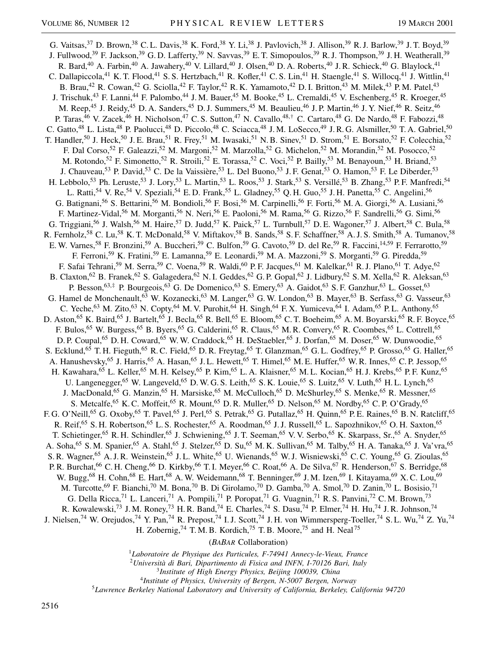G. Vaitsas,  $37$  D. Brown,  $38$  C. L. Davis,  $38$  K. Ford,  $38$  Y. Li,  $38$  J. Pavlovich,  $38$  J. Allison,  $39$  R. J. Barlow,  $39$  J. T. Boyd,  $39$ J. Fullwood,<sup>39</sup> F. Jackson,<sup>39</sup> G. D. Lafferty,<sup>39</sup> N. Savvas,<sup>39</sup> E. T. Simopoulos,<sup>39</sup> R. J. Thompson,<sup>39</sup> J. H. Weatherall,<sup>39</sup> R. Bard,<sup>40</sup> A. Farbin,<sup>40</sup> A. Jawahery,<sup>40</sup> V. Lillard,<sup>40</sup> J. Olsen,<sup>40</sup> D. A. Roberts,<sup>40</sup> J. R. Schieck,<sup>40</sup> G. Blaylock,<sup>41</sup> C. Dallapiccola,<sup>41</sup> K. T. Flood,<sup>41</sup> S. S. Hertzbach,<sup>41</sup> R. Kofler,<sup>41</sup> C. S. Lin,<sup>41</sup> H. Staengle,<sup>41</sup> S. Willocq,<sup>41</sup> J. Wittlin,<sup>41</sup> B. Brau,<sup>42</sup> R. Cowan,<sup>42</sup> G. Sciolla,<sup>42</sup> F. Taylor,<sup>42</sup> R. K. Yamamoto,<sup>42</sup> D. I. Britton,<sup>43</sup> M. Milek,<sup>43</sup> P. M. Patel,<sup>43</sup> J. Trischuk,<sup>43</sup> F. Lanni,<sup>44</sup> F. Palombo,<sup>44</sup> J. M. Bauer,<sup>45</sup> M. Booke,<sup>45</sup> L. Cremaldi,<sup>45</sup> V. Eschenberg,<sup>45</sup> R. Kroeger,<sup>45</sup> M. Reep,<sup>45</sup> J. Reidy,<sup>45</sup> D. A. Sanders,<sup>45</sup> D. J. Summers,<sup>45</sup> M. Beaulieu,<sup>46</sup> J. P. Martin,<sup>46</sup> J. Y. Nief,<sup>46</sup> R. Seitz,<sup>46</sup> P. Taras,<sup>46</sup> V. Zacek,<sup>46</sup> H. Nicholson,<sup>47</sup> C. S. Sutton,<sup>47</sup> N. Cavallo,<sup>48,†</sup> C. Cartaro,<sup>48</sup> G. De Nardo,<sup>48</sup> F. Fabozzi,<sup>48</sup> C. Gatto,<sup>48</sup> L. Lista,<sup>48</sup> P. Paolucci,<sup>48</sup> D. Piccolo,<sup>48</sup> C. Sciacca,<sup>48</sup> J.M. LoSecco,<sup>49</sup> J.R.G. Alsmiller,<sup>50</sup> T.A. Gabriel,<sup>50</sup> T. Handler,<sup>50</sup> J. Heck,<sup>50</sup> J. E. Brau,<sup>51</sup> R. Frey,<sup>51</sup> M. Iwasaki,<sup>51</sup> N. B. Sinev,<sup>51</sup> D. Strom,<sup>51</sup> E. Borsato,<sup>52</sup> F. Colecchia,<sup>52</sup> F. Dal Corso,<sup>52</sup> F. Galeazzi,<sup>52</sup> M. Margoni,<sup>52</sup> M. Marzolla,<sup>52</sup> G. Michelon,<sup>52</sup> M. Morandin,<sup>52</sup> M. Posocco,<sup>52</sup> M. Rotondo,<sup>52</sup> F. Simonetto,<sup>52</sup> R. Stroili,<sup>52</sup> E. Torassa,<sup>52</sup> C. Voci,<sup>52</sup> P. Bailly,<sup>53</sup> M. Benayoun,<sup>53</sup> H. Briand,<sup>53</sup> J. Chauveau,<sup>53</sup> P. David,<sup>53</sup> C. De la Vaissière,<sup>53</sup> L. Del Buono,<sup>53</sup> J. F. Genat,<sup>53</sup> O. Hamon,<sup>53</sup> F. Le Diberder,<sup>53</sup> H. Lebbolo,<sup>53</sup> Ph. Leruste,<sup>53</sup> J. Lory,<sup>53</sup> L. Martin,<sup>53</sup> L. Roos,<sup>53</sup> J. Stark,<sup>53</sup> S. Versillé,<sup>53</sup> B. Zhang,<sup>53</sup> P. F. Manfredi,<sup>54</sup> L. Ratti,<sup>54</sup> V. Re,<sup>54</sup> V. Speziali,<sup>54</sup> E. D. Frank,<sup>55</sup> L. Gladney,<sup>55</sup> Q. H. Guo,<sup>55</sup> J. H. Panetta,<sup>55</sup> C. Angelini,<sup>56</sup> G. Batignani,<sup>56</sup> S. Bettarini,<sup>56</sup> M. Bondioli,<sup>56</sup> F. Bosi,<sup>56</sup> M. Carpinelli,<sup>56</sup> F. Forti,<sup>56</sup> M. A. Giorgi,<sup>56</sup> A. Lusiani,<sup>56</sup> F. Martinez-Vidal,<sup>56</sup> M. Morganti,<sup>56</sup> N. Neri,<sup>56</sup> E. Paoloni,<sup>56</sup> M. Rama,<sup>56</sup> G. Rizzo,<sup>56</sup> F. Sandrelli,<sup>56</sup> G. Simi,<sup>56</sup> G. Triggiani,<sup>56</sup> J. Walsh,<sup>56</sup> M. Haire,<sup>57</sup> D. Judd,<sup>57</sup> K. Paick,<sup>57</sup> L. Turnbull,<sup>57</sup> D. E. Wagoner,<sup>57</sup> J. Albert,<sup>58</sup> C. Bula,<sup>58</sup> R. Fernholz,<sup>58</sup> C. Lu,<sup>58</sup> K. T. McDonald,<sup>58</sup> V. Miftakov,<sup>58</sup> B. Sands,<sup>58</sup> S. F. Schaffner,<sup>58</sup> A. J. S. Smith,<sup>58</sup> A. Tumanov,<sup>58</sup> E. W. Varnes,<sup>58</sup> F. Bronzini,<sup>59</sup> A. Buccheri,<sup>59</sup> C. Bulfon,<sup>59</sup> G. Cavoto,<sup>59</sup> D. del Re,<sup>59</sup> R. Faccini,<sup>14,59</sup> F. Ferrarotto,<sup>59</sup> F. Ferroni,<sup>59</sup> K. Fratini,<sup>59</sup> E. Lamanna,<sup>59</sup> E. Leonardi,<sup>59</sup> M. A. Mazzoni,<sup>59</sup> S. Morganti,<sup>59</sup> G. Piredda,<sup>59</sup> F. Safai Tehrani,<sup>59</sup> M. Serra,<sup>59</sup> C. Voena,<sup>59</sup> R. Waldi,<sup>60</sup> P. F. Jacques,<sup>61</sup> M. Kalelkar,<sup>61</sup> R. J. Plano,<sup>61</sup> T. Adye,<sup>62</sup> B. Claxton,  $^{62}$  B. Franek,  $^{62}$  S. Galagedera,  $^{62}$  N. I. Geddes,  $^{62}$  G. P. Gopal,  $^{62}$  J. Lidbury,  $^{62}$  S. M. Xella,  $^{62}$  R. Aleksan,  $^{63}$ P. Besson,<sup>63,‡</sup> P. Bourgeois,<sup>63</sup> G. De Domenico,<sup>63</sup> S. Emery,<sup>63</sup> A. Gaidot,<sup>63</sup> S. F. Ganzhur,<sup>63</sup> L. Gosset,<sup>63</sup> G. Hamel de Monchenault,<sup>63</sup> W. Kozanecki,<sup>63</sup> M. Langer,<sup>63</sup> G. W. London,<sup>63</sup> B. Mayer,<sup>63</sup> B. Serfass,<sup>63</sup> G. Vasseur,<sup>63</sup> C. Yeche,<sup>63</sup> M. Zito,<sup>63</sup> N. Copty,<sup>64</sup> M. V. Purohit,<sup>64</sup> H. Singh,<sup>64</sup> F. X. Yumiceva,<sup>64</sup> I. Adam,<sup>65</sup> P. L. Anthony,<sup>65</sup> D. Aston,<sup>65</sup> K. Baird,<sup>65</sup> J. Bartelt,<sup>65</sup> J. Becla,<sup>65</sup> R. Bell,<sup>65</sup> E. Bloom,<sup>65</sup> C. T. Boeheim,<sup>65</sup> A. M. Boyarski,<sup>65</sup> R. F. Boyce,<sup>65</sup> F. Bulos,<sup>65</sup> W. Burgess,<sup>65</sup> B. Byers,<sup>65</sup> G. Calderini,<sup>65</sup> R. Claus,<sup>65</sup> M. R. Convery,<sup>65</sup> R. Coombes,<sup>65</sup> L. Cottrell,<sup>65</sup> D. P. Coupal,<sup>65</sup> D. H. Coward,<sup>65</sup> W. W. Craddock,<sup>65</sup> H. DeStaebler,<sup>65</sup> J. Dorfan,<sup>65</sup> M. Doser,<sup>65</sup> W. Dunwoodie,<sup>65</sup> S. Ecklund,<sup>65</sup> T. H. Fieguth,<sup>65</sup> R. C. Field,<sup>65</sup> D. R. Freytag,<sup>65</sup> T. Glanzman,<sup>65</sup> G. L. Godfrey,<sup>65</sup> P. Grosso,<sup>65</sup> G. Haller,<sup>65</sup> A. Hanushevsky,<sup>65</sup> J. Harris,<sup>65</sup> A. Hasan,<sup>65</sup> J.L. Hewett,<sup>65</sup> T. Himel,<sup>65</sup> M. E. Huffer,<sup>65</sup> W. R. Innes,<sup>65</sup> C. P. Jessop,<sup>65</sup> H. Kawahara,<sup>65</sup> L. Keller,<sup>65</sup> M. H. Kelsey,<sup>65</sup> P. Kim,<sup>65</sup> L. A. Klaisner,<sup>65</sup> M. L. Kocian,<sup>65</sup> H. J. Krebs,<sup>65</sup> P. F. Kunz,<sup>65</sup> U. Langenegger,<sup>65</sup> W. Langeveld,<sup>65</sup> D. W. G. S. Leith,<sup>65</sup> S. K. Louie,<sup>65</sup> S. Luitz,<sup>65</sup> V. Luth,<sup>65</sup> H. L. Lynch,<sup>65</sup> J. MacDonald, <sup>65</sup> G. Manzin, <sup>65</sup> H. Marsiske, <sup>65</sup> M. McCulloch, <sup>65</sup> D. McShurley, <sup>65</sup> S. Menke, <sup>65</sup> R. Messner, <sup>65</sup> S. Metcalfe,<sup>65</sup> K. C. Moffeit,<sup>65</sup> R. Mount,<sup>65</sup> D. R. Muller,<sup>65</sup> D. Nelson,<sup>65</sup> M. Nordby,<sup>65</sup> C. P. O'Grady,<sup>65</sup> F. G. O'Neill,<sup>65</sup> G. Oxoby,<sup>65</sup> T. Pavel,<sup>65</sup> J. Perl,<sup>65</sup> S. Petrak,<sup>65</sup> G. Putallaz,<sup>65</sup> H. Quinn,<sup>65</sup> P. E. Raines,<sup>65</sup> B. N. Ratcliff,<sup>65</sup> R. Reif,<sup>65</sup> S. H. Robertson,<sup>65</sup> L. S. Rochester,<sup>65</sup> A. Roodman,<sup>65</sup> J. J. Russell,<sup>65</sup> L. Sapozhnikov,<sup>65</sup> O. H. Saxton,<sup>65</sup> T. Schietinger,<sup>65</sup> R. H. Schindler,<sup>65</sup> J. Schwiening,<sup>65</sup> J. T. Seeman,<sup>65</sup> V. V. Serbo,<sup>65</sup> K. Skarpass, Sr.,<sup>65</sup> A. Snyder,<sup>65</sup> A. Soha,<sup>65</sup> S. M. Spanier,<sup>65</sup> A. Stahl,<sup>65</sup> J. Stelzer,<sup>65</sup> D. Su,<sup>65</sup> M. K. Sullivan,<sup>65</sup> M. Talby,<sup>65</sup> H. A. Tanaka,<sup>65</sup> J. Va'vra,<sup>65</sup> S. R. Wagner,<sup>65</sup> A. J. R. Weinstein,<sup>65</sup> J. L. White,<sup>65</sup> U. Wienands,<sup>65</sup> W. J. Wisniewski,<sup>65</sup> C. C. Young,<sup>65</sup> G. Zioulas,<sup>65</sup> P. R. Burchat,<sup>66</sup> C. H. Cheng,<sup>66</sup> D. Kirkby,<sup>66</sup> T. I. Meyer,<sup>66</sup> C. Roat,<sup>66</sup> A. De Silva,<sup>67</sup> R. Henderson,<sup>67</sup> S. Berridge,<sup>68</sup> W. Bugg,<sup>68</sup> H. Cohn,<sup>68</sup> E. Hart,<sup>68</sup> A. W. Weidemann,<sup>68</sup> T. Benninger,<sup>69</sup> J. M. Izen,<sup>69</sup> I. Kitayama,<sup>69</sup> X. C. Lou,<sup>69</sup> M. Turcotte,<sup>69</sup> F. Bianchi,<sup>70</sup> M. Bona,<sup>70</sup> B. Di Girolamo,<sup>70</sup> D. Gamba,<sup>70</sup> A. Smol,<sup>70</sup> D. Zanin,<sup>70</sup> L. Bosisio,<sup>71</sup> G. Della Ricca,<sup>71</sup> L. Lanceri,<sup>71</sup> A. Pompili,<sup>71</sup> P. Poropat,<sup>71</sup> G. Vuagnin,<sup>71</sup> R. S. Panvini,<sup>72</sup> C. M. Brown,<sup>73</sup> R. Kowalewski,<sup>73</sup> J.M. Roney,<sup>73</sup> H.R. Band,<sup>74</sup> E. Charles,<sup>74</sup> S. Dasu,<sup>74</sup> P. Elmer,<sup>74</sup> H. Hu,<sup>74</sup> J.R. Johnson,<sup>74</sup> J. Nielsen,<sup>74</sup> W. Orejudos,<sup>74</sup> Y. Pan,<sup>74</sup> R. Prepost,<sup>74</sup> I. J. Scott,<sup>74</sup> J. H. von Wimmersperg-Toeller,<sup>74</sup> S. L. Wu,<sup>74</sup> Z. Yu,<sup>74</sup> H. Zobernig,<sup>74</sup> T. M. B. Kordich,<sup>75</sup> T. B. Moore,<sup>75</sup> and H. Neal<sup>75</sup>

(*BABAR* Collaboration)

<sup>1</sup>*Laboratoire de Physique des Particules, F-74941 Annecy-le-Vieux, France*

- <sup>2</sup>*Università di Bari, Dipartimento di Fisica and INFN, I-70126 Bari, Italy*
	- <sup>3</sup>*Institute of High Energy Physics, Beijing 100039, China*

<sup>4</sup>*Institute of Physics, University of Bergen, N-5007 Bergen, Norway*

<sup>5</sup>*Lawrence Berkeley National Laboratory and University of California, Berkeley, California 94720*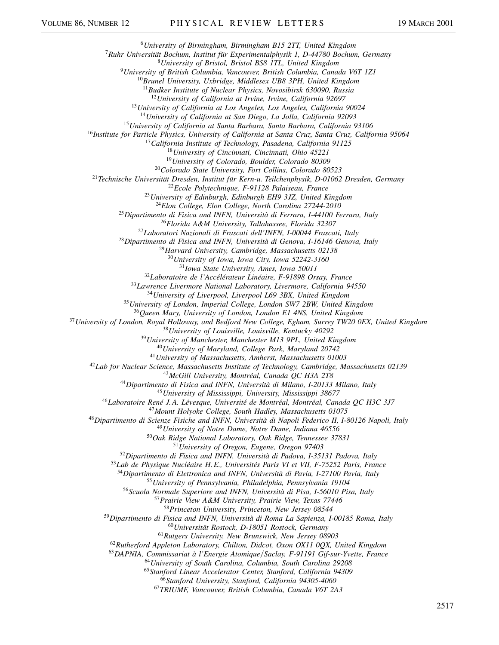*University of Birmingham, Birmingham B15 2TT, United Kingdom Ruhr Universität Bochum, Institut für Experimentalphysik 1, D-44780 Bochum, Germany University of Bristol, Bristol BS8 1TL, United Kingdom University of British Columbia, Vancouver, British Columbia, Canada V6T 1Z1 Brunel University, Uxbridge, Middlesex UB8 3PH, United Kingdom Budker Institute of Nuclear Physics, Novosibirsk 630090, Russia University of California at Irvine, Irvine, California 92697 University of California at Los Angeles, Los Angeles, California 90024 University of California at San Diego, La Jolla, California 92093 University of California at Santa Barbara, Santa Barbara, California 93106 Institute for Particle Physics, University of California at Santa Cruz, Santa Cruz, California 95064 California Institute of Technology, Pasadena, California 91125 University of Cincinnati, Cincinnati, Ohio 45221 University of Colorado, Boulder, Colorado 80309 Colorado State University, Fort Collins, Colorado 80523 Technische Universität Dresden, Institut für Kern-u. Teilchenphysik, D-01062 Dresden, Germany Ecole Polytechnique, F-91128 Palaiseau, France University of Edinburgh, Edinburgh EH9 3JZ, United Kingdom Elon College, Elon College, North Carolina 27244-2010 Dipartimento di Fisica and INFN, Università di Ferrara, I-44100 Ferrara, Italy Florida A&M University, Tallahassee, Florida 32307 Laboratori Nazionali di Frascati dell'INFN, I-00044 Frascati, Italy Dipartimento di Fisica and INFN, Università di Genova, I-16146 Genova, Italy Harvard University, Cambridge, Massachusetts 02138 University of Iowa, Iowa City, Iowa 52242-3160 Iowa State University, Ames, Iowa 50011 Laboratoire de l'Accélérateur Linéaire, F-91898 Orsay, France Lawrence Livermore National Laboratory, Livermore, California 94550 University of Liverpool, Liverpool L69 3BX, United Kingdom University of London, Imperial College, London SW7 2BW, United Kingdom Queen Mary, University of London, London E1 4NS, United Kingdom University of London, Royal Holloway, and Bedford New College, Egham, Surrey TW20 0EX, United Kingdom University of Louisville, Louisville, Kentucky 40292 University of Manchester, Manchester M13 9PL, United Kingdom University of Maryland, College Park, Maryland 20742 University of Massachusetts, Amherst, Massachusetts 01003 Lab for Nuclear Science, Massachusetts Institute of Technology, Cambridge, Massachusetts 02139 McGill University, Montréal, Canada QC H3A 2T8 Dipartimento di Fisica and INFN, Università di Milano, I-20133 Milano, Italy University of Mississippi, University, Mississippi 38677 Laboratoire René J. A. Lévesque, Université de Montréal, Montréal, Canada QC H3C 3J7 Mount Holyoke College, South Hadley, Massachusetts 01075 Dipartimento di Scienze Fisiche and INFN, Università di Napoli Federico II, I-80126 Napoli, Italy University of Notre Dame, Notre Dame, Indiana 46556 Oak Ridge National Laboratory, Oak Ridge, Tennessee 37831 University of Oregon, Eugene, Oregon 97403 Dipartimento di Fisica and INFN, Università di Padova, I-35131 Padova, Italy Lab de Physique Nucléaire H. E., Universités Paris VI et VII, F-75252 Paris, France Dipartimento di Elettronica and INFN, Università di Pavia, I-27100 Pavia, Italy University of Pennsylvania, Philadelphia, Pennsylvania 19104 Scuola Normale Superiore and INFN, Università di Pisa, I-56010 Pisa, Italy Prairie View A&M University, Prairie View, Texas 77446 Princeton University, Princeton, New Jersey 08544 Dipartimento di Fisica and INFN, Università di Roma La Sapienza, I-00185 Roma, Italy Universität Rostock, D-18051 Rostock, Germany Rutgers University, New Brunswick, New Jersey 08903 Rutherford Appleton Laboratory, Chilton, Didcot, Oxon OX11 0QX, United Kingdom DAPNIA, Commissariat à l'Energie AtomiqueSaclay, F-91191 Gif-sur-Yvette, France University of South Carolina, Columbia, South Carolina 29208 Stanford Linear Accelerator Center, Stanford, California 94309 Stanford University, Stanford, California 94305-4060*

*TRIUMF, Vancouver, British Columbia, Canada V6T 2A3*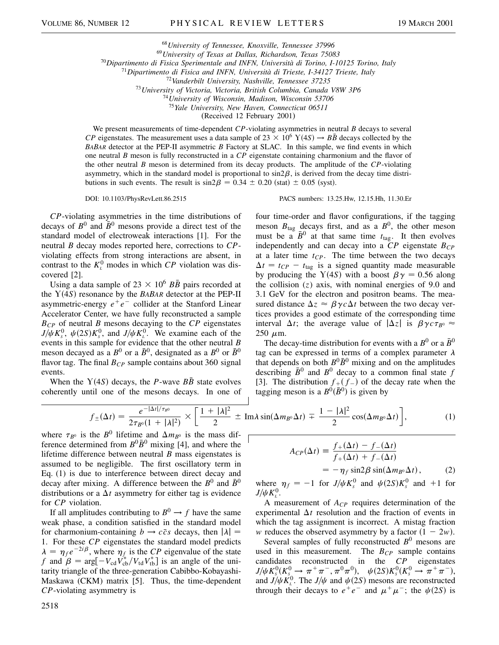<sup>68</sup>*University of Tennessee, Knoxville, Tennessee 37996*

<sup>69</sup>*University of Texas at Dallas, Richardson, Texas 75083*

<sup>70</sup>*Dipartimento di Fisica Sperimentale and INFN, Università di Torino, I-10125 Torino, Italy*

<sup>71</sup>*Dipartimento di Fisica and INFN, Università di Trieste, I-34127 Trieste, Italy*

<sup>72</sup>*Vanderbilt University, Nashville, Tennessee 37235*

<sup>73</sup>*University of Victoria, Victoria, British Columbia, Canada V8W 3P6*

<sup>74</sup>*University of Wisconsin, Madison, Wisconsin 53706*

<sup>75</sup>*Yale University, New Haven, Connecticut 06511*

(Received 12 February 2001)

We present measurements of time-dependent *CP*-violating asymmetries in neutral *B* decays to several *CP* eigenstates. The measurement uses a data sample of  $23 \times 10^6$  Y(4*S*)  $\rightarrow$  *BB* decays collected by the *BABAR* detector at the PEP-II asymmetric *B* Factory at SLAC. In this sample, we find events in which one neutral *B* meson is fully reconstructed in a *CP* eigenstate containing charmonium and the flavor of the other neutral *B* meson is determined from its decay products. The amplitude of the *CP*-violating asymmetry, which in the standard model is proportional to  $sin2\beta$ , is derived from the decay time distributions in such events. The result is  $\sin 2\beta = 0.34 \pm 0.20$  (stat)  $\pm 0.05$  (syst).

DOI: 10.1103/PhysRevLett.86.2515 PACS numbers: 13.25.Hw, 12.15.Hh, 11.30.Er

*CP*-violating asymmetries in the time distributions of decays of  $B^0$  and  $\bar{B}^0$  mesons provide a direct test of the standard model of electroweak interactions [1]. For the neutral *B* decay modes reported here, corrections to *CP*violating effects from strong interactions are absent, in contrast to the  $K<sub>L</sub><sup>0</sup>$  modes in which *CP* violation was discovered [2].

Using a data sample of  $23 \times 10^6$  *BB* pairs recorded at the  $Y(4S)$  resonance by the *BABAR* detector at the PEP-II asymmetric-energy  $e^+e^-$  collider at the Stanford Linear Accelerator Center, we have fully reconstructed a sample *BCP* of neutral *B* mesons decaying to the *CP* eigenstates  $J/\psi K_s^0$ ,  $\psi(2S)K_s^0$ , and  $J/\psi K_t^0$ . We examine each of the events in this sample for evidence that the other neutral *B* meson decayed as a  $B^0$  or a  $\bar{B}^0$ , designated as a  $B^0$  or  $\bar{B}^0$ flavor tag. The final  $B_{CP}$  sample contains about 360 signal events.

When the  $Y(4S)$  decays, the *P*-wave  $B\bar{B}$  state evolves coherently until one of the mesons decays. In one of

four time-order and flavor configurations, if the tagging meson  $B_{\text{tag}}$  decays first, and as a  $B^0$ , the other meson must be a  $\bar{B}^0$  at that same time  $t_{\text{tag}}$ . It then evolves independently and can decay into a  $\overline{CP}$  eigenstate  $B_{\overline{CP}}$ at a later time  $t_{CP}$ . The time between the two decays  $\Delta t = t_{CP} - t_{\text{tag}}$  is a signed quantity made measurable by producing the Y(4*S*) with a boost  $\beta \gamma = 0.56$  along the collision  $(z)$  axis, with nominal energies of 9.0 and

3.1 GeV for the electron and positron beams. The measured distance  $\Delta z \approx \beta \gamma c \Delta t$  between the two decay vertices provides a good estimate of the corresponding time interval  $\Delta t$ ; the average value of  $|\Delta z|$  is  $\beta \gamma c \tau_{B}$ <sup>0</sup>  $\approx$  $250 \mu m$ .

The decay-time distribution for events with a  $B^0$  or a  $\bar{B}^0$ tag can be expressed in terms of a complex parameter  $\lambda$ that depends on both  $B^0\bar{B}^0$  mixing and on the amplitudes describing  $\bar{B}^0$  and  $B^0$  decay to a common final state *f* [3]. The distribution  $f_{+}(f_{-})$  of the decay rate when the tagging meson is a  $B^0(\overline{B}^0)$  is given by

$$
f_{\pm}(\Delta t) = \frac{e^{-|\Delta t|/\tau_{B^0}}}{2\tau_{B^0}(1+|\lambda|^2)} \times \left[\frac{1+|\lambda|^2}{2} \pm \text{Im}\lambda\sin(\Delta m_{B^0}\Delta t) \mp \frac{1-|\lambda|^2}{2}\cos(\Delta m_{B^0}\Delta t)\right],\tag{1}
$$

where  $\tau_{B^0}$  is the *B*<sup>0</sup> lifetime and  $\Delta m_{B^0}$  is the mass difference determined from  $B^0\bar{B}^0$  mixing [4], and where the lifetime difference between neutral *B* mass eigenstates is assumed to be negligible. The first oscillatory term in Eq. (1) is due to interference between direct decay and decay after mixing. A difference between the  $B^0$  and  $\bar{B}^0$ distributions or a  $\Delta t$  asymmetry for either tag is evidence for *CP* violation.

If all amplitudes contributing to  $B^0 \rightarrow f$  have the same weak phase, a condition satisfied in the standard model for charmonium-containing  $b \rightarrow c\bar{c}s$  decays, then  $|\lambda| =$ 1. For these *CP* eigenstates the standard model predicts  $\lambda = \eta_f e^{-2i\beta}$ , where  $\eta_f$  is the *CP* eigenvalue of the state *f* and  $\beta = \arg[-V_{cd}V_{cb}^*/V_{td}V_{tb}^*]$  is an angle of the unitarity triangle of the three-generation Cabibbo-Kobayashi-Maskawa (CKM) matrix [5]. Thus, the time-dependent *CP*-violating asymmetry is

$$
A_{CP}(\Delta t) = \frac{f_{+}(\Delta t) - f_{-}(\Delta t)}{f_{+}(\Delta t) + f_{-}(\Delta t)}
$$
  
=  $-\eta_{f} \sin 2\beta \sin(\Delta m_{B^{0}} \Delta t)$ , (2)

where  $\eta_f = -1$  for *J*/ $\psi K_s^0$  and  $\psi(2S)K_s^0$  and +1 for  $J/\psi K^0_{\iota}$ .

A measurement of *ACP* requires determination of the experimental  $\Delta t$  resolution and the fraction of events in which the tag assignment is incorrect. A mistag fraction *w* reduces the observed asymmetry by a factor  $(1 - 2w)$ .

Several samples of fully reconstructed  $B^0$  mesons are used in this measurement. The  $B_{CP}$  sample contains candidates reconstructed in the *CP* eigenstates  $J/\psi K_s^0(K_{s_s}^0 \to \pi^+ \pi^-, \pi^0 \pi^0), \quad \psi(2S)K_s^0(K_s^0 \to \pi^+ \pi^-),$ and  $J/\psi K_L^0$ . The  $J/\psi$  and  $\psi(2S)$  mesons are reconstructed through their decays to  $e^+e^-$  and  $\mu^+\mu^-$ ; the  $\psi(2S)$  is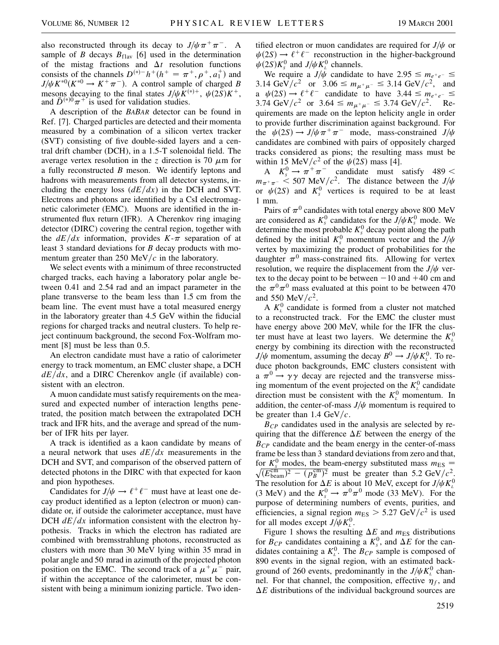also reconstructed through its decay to  $J/\psi \pi^+ \pi^-$ . A sample of *B* decays  $B_{\text{flav}}$  [6] used in the determination of the mistag fractions and  $\Delta t$  resolution functions consists of the channels  $D^{(*)-}h^+(h^+ = \pi^+, \rho^+, a_1^+)$  and  $J/\psi K^{*0}(K^{*0} \to K^+ \pi^-)$ . A control sample of charged *B* mesons decaying to the final states  $J/\psi \overline{K}^{(*)+}$ ,  $\psi(2S)K^{+}$ , and  $\overline{D}^{(*)0}\pi^{+}$  is used for validation studies. and  $\bar{D}^{(*)0}\pi^+$  is used for validation studies.

A description of the *BABAR* detector can be found in Ref. [7]. Charged particles are detected and their momenta measured by a combination of a silicon vertex tracker (SVT) consisting of five double-sided layers and a central drift chamber (DCH), in a 1.5-T solenoidal field. The average vertex resolution in the *z* direction is 70  $\mu$ m for a fully reconstructed *B* meson. We identify leptons and hadrons with measurements from all detector systems, including the energy loss  $(dE/dx)$  in the DCH and SVT. Electrons and photons are identified by a CsI electromagnetic calorimeter (EMC). Muons are identified in the instrumented flux return (IFR). A Cherenkov ring imaging detector (DIRC) covering the central region, together with the  $dE/dx$  information, provides  $K-\pi$  separation of at least 3 standard deviations for *B* decay products with momentum greater than 250 MeV/ $c$  in the laboratory.

We select events with a minimum of three reconstructed charged tracks, each having a laboratory polar angle between 0.41 and 2.54 rad and an impact parameter in the plane transverse to the beam less than 1.5 cm from the beam line. The event must have a total measured energy in the laboratory greater than 4.5 GeV within the fiducial regions for charged tracks and neutral clusters. To help reject continuum background, the second Fox-Wolfram moment [8] must be less than 0.5.

An electron candidate must have a ratio of calorimeter energy to track momentum, an EMC cluster shape, a DCH  $dE/dx$ , and a DIRC Cherenkov angle (if available) consistent with an electron.

A muon candidate must satisfy requirements on the measured and expected number of interaction lengths penetrated, the position match between the extrapolated DCH track and IFR hits, and the average and spread of the number of IFR hits per layer.

A track is identified as a kaon candidate by means of a neural network that uses  $dE/dx$  measurements in the DCH and SVT, and comparison of the observed pattern of detected photons in the DIRC with that expected for kaon and pion hypotheses.

Candidates for  $J/\psi \rightarrow \ell^+ \ell^-$  must have at least one decay product identified as a lepton (electron or muon) candidate or, if outside the calorimeter acceptance, must have DCH  $dE/dx$  information consistent with the electron hypothesis. Tracks in which the electron has radiated are combined with bremsstrahlung photons, reconstructed as clusters with more than 30 MeV lying within 35 mrad in polar angle and 50 mrad in azimuth of the projected photon position on the EMC. The second track of a  $\mu^+ \mu^-$  pair, if within the acceptance of the calorimeter, must be consistent with being a minimum ionizing particle. Two identified electron or muon candidates are required for  $J/\psi$  or  $\psi(2S) \rightarrow \ell^+ \ell^-$  reconstruction in the higher-background  $\psi(2S)K_s^0$  and  $J/\psi K_L^0$  channels.

We require a  $J/\psi$  candidate to have  $2.95 \le m_{e^+e^-} \le$ 3.14 GeV/ $c^2$  or 3.06  $\leq m_{\mu^+\mu^-} \leq 3.14$  GeV/ $c^2$ , and a  $\psi(2S) \rightarrow \ell^+ \ell^-$  candidate to have  $3.44 \leq m_{e^+e^-} \leq$ 3.74 GeV/ $c^2$  or 3.64  $\leq m_{\mu^+\mu^-} \leq 3.74$  GeV/ $c^2$ . Requirements are made on the lepton helicity angle in order to provide further discrimination against background. For the  $\psi(2S) \rightarrow J/\psi \pi^+ \pi^-$  mode, mass-constrained  $J/\psi$ candidates are combined with pairs of oppositely charged tracks considered as pions; the resulting mass must be within 15 MeV/ $c^2$  of the  $\psi(2S)$  mass [4].

A  $K_s^0 \rightarrow \pi^+ \pi^-$  candidate must satisfy 489 <  $m_{\pi^+\pi^-}$  < 507 MeV/ $c^2$ . The distance between the *J*/ $\psi$ or  $\psi(2S)$  and  $K_s^0$  vertices is required to be at least 1 mm.

Pairs of  $\pi^0$  candidates with total energy above 800 MeV are considered as  $K_s^0$  candidates for the  $J/\psi K_s^0$  mode. We determine the most probable  $K_s^0$  decay point along the path defined by the initial  $K_s^0$  momentum vector and the  $J/\psi$ vertex by maximizing the product of probabilities for the daughter  $\pi^0$  mass-constrained fits. Allowing for vertex resolution, we require the displacement from the  $J/\psi$  vertex to the decay point to be between  $-10$  and  $+40$  cm and the  $\pi^{0}\pi^{0}$  mass evaluated at this point to be between 470 and 550 MeV/ $c^2$ .

A  $K<sub>L</sub><sup>0</sup>$  candidate is formed from a cluster not matched to a reconstructed track. For the EMC the cluster must have energy above 200 MeV, while for the IFR the cluster must have at least two layers. We determine the  $K^0_{\iota}$ energy by combining its direction with the reconstructed  $J/\psi$  momentum, assuming the decay  $B^0 \rightarrow J/\psi K_L^0$ . To reduce photon backgrounds, EMC clusters consistent with a  $\pi^0 \rightarrow \gamma \gamma$  decay are rejected and the transverse missing momentum of the event projected on the  $K^0_\text{L}$  candidate direction must be consistent with the  $K<sub>L</sub><sup>0</sup>$  momentum. In addition, the center-of-mass  $J/\psi$  momentum is required to be greater than  $1.4 \text{ GeV}/c$ .

*BCP* candidates used in the analysis are selected by requiring that the difference  $\Delta E$  between the energy of the  $B_{CP}$  candidate and the beam energy in the center-of-mass frame be less than 3 standard deviations from zero and that, for  $K_s^0$  modes, the beam-energy substituted mass  $m_{\text{ES}} =$  $(\overline{E_{\text{beam}}^{\text{cm}}})^2 - (p_B^{\text{cm}})^2$  must be greater than 5.2 GeV/ $c^2$ . The resolution for  $\Delta E$  is about 10 MeV, except for  $J/\psi K^0_L$ (3 MeV) and the  $K_s^0 \to \pi^0 \pi^0$  mode (33 MeV). For the purpose of determining numbers of events, purities, and efficiencies, a signal region  $m_{ES} > 5.27 \text{ GeV}/c^2$  is used for all modes except  $J/\psi K_L^0$ .

Figure 1 shows the resulting  $\Delta E$  and  $m_{ES}$  distributions for  $B_{CP}$  candidates containing a  $K_s^0$ , and  $\Delta E$  for the candidates containing a  $K<sub>L</sub><sup>0</sup>$ . The  $B<sub>CP</sub>$  sample is composed of 890 events in the signal region, with an estimated background of 260 events, predominantly in the  $J/\psi K^0_{\iota}$  channel. For that channel, the composition, effective  $\eta_f$ , and  $\Delta E$  distributions of the individual background sources are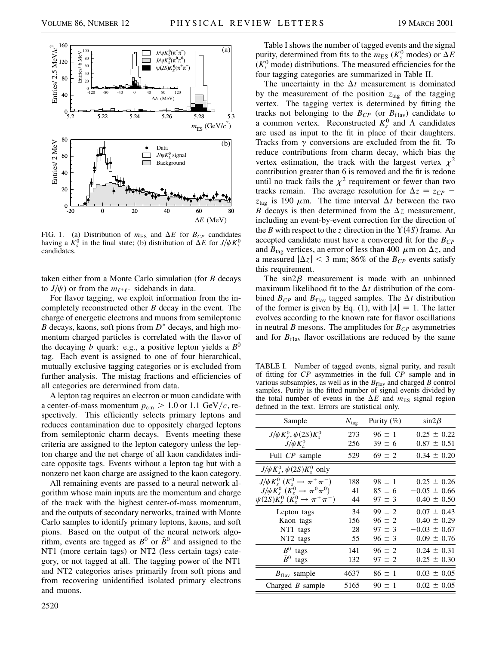

FIG. 1. (a) Distribution of  $m_{ES}$  and  $\Delta E$  for  $B_{CP}$  candidates having a  $K_s^0$  in the final state; (b) distribution of  $\Delta E$  for  $J/\psi K_L^0$ candidates.

taken either from a Monte Carlo simulation (for *B* decays to  $J/\psi$ ) or from the  $m_{\ell^+ \ell^-}$  sidebands in data.

For flavor tagging, we exploit information from the incompletely reconstructed other *B* decay in the event. The charge of energetic electrons and muons from semileptonic *B* decays, kaons, soft pions from  $D^*$  decays, and high momentum charged particles is correlated with the flavor of the decaying *b* quark: e.g., a positive lepton yields a *B*<sup>0</sup> tag. Each event is assigned to one of four hierarchical, mutually exclusive tagging categories or is excluded from further analysis. The mistag fractions and efficiencies of all categories are determined from data.

A lepton tag requires an electron or muon candidate with a center-of-mass momentum  $p_{cm} > 1.0$  or 1.1 GeV/c, respectively. This efficiently selects primary leptons and reduces contamination due to oppositely charged leptons from semileptonic charm decays. Events meeting these criteria are assigned to the lepton category unless the lepton charge and the net charge of all kaon candidates indicate opposite tags. Events without a lepton tag but with a nonzero net kaon charge are assigned to the kaon category.

All remaining events are passed to a neural network algorithm whose main inputs are the momentum and charge of the track with the highest center-of-mass momentum, and the outputs of secondary networks, trained with Monte Carlo samples to identify primary leptons, kaons, and soft pions. Based on the output of the neural network algorithm, events are tagged as  $B^0$  or  $\bar{B}^0$  and assigned to the NT1 (more certain tags) or NT2 (less certain tags) category, or not tagged at all. The tagging power of the NT1 and NT2 categories arises primarily from soft pions and from recovering unidentified isolated primary electrons and muons.

Table I shows the number of tagged events and the signal purity, determined from fits to the  $m_{\text{ES}}$  ( $K_s^0$  modes) or  $\Delta E$  $(K_L^0 \text{ mode})$  distributions. The measured efficiencies for the four tagging categories are summarized in Table II.

The uncertainty in the  $\Delta t$  measurement is dominated by the measurement of the position  $z_{\text{tag}}$  of the tagging vertex. The tagging vertex is determined by fitting the tracks not belonging to the  $B_{CP}$  (or  $B_{\text{flav}}$ ) candidate to a common vertex. Reconstructed  $K_s^0$  and  $\Lambda$  candidates are used as input to the fit in place of their daughters. Tracks from  $\gamma$  conversions are excluded from the fit. To reduce contributions from charm decay, which bias the vertex estimation, the track with the largest vertex  $\chi^2$ contribution greater than 6 is removed and the fit is redone until no track fails the  $\chi^2$  requirement or fewer than two tracks remain. The average resolution for  $\Delta z = z_{CP}$  $z<sub>tag</sub>$  is 190  $\mu$ m. The time interval  $\Delta t$  between the two *B* decays is then determined from the  $\Delta z$  measurement, including an event-by-event correction for the direction of the *B* with respect to the *z* direction in the  $Y(4S)$  frame. An accepted candidate must have a converged fit for the  $B_{CP}$ and  $B_{\text{tag}}$  vertices, an error of less than 400  $\mu$ m on  $\Delta z$ , and a measured  $|\Delta z| < 3$  mm; 86% of the  $B_{CP}$  events satisfy this requirement.

The  $sin2\beta$  measurement is made with an unbinned maximum likelihood fit to the  $\Delta t$  distribution of the combined  $B_{CP}$  and  $B_{flav}$  tagged samples. The  $\Delta t$  distribution of the former is given by Eq. (1), with  $|\lambda| = 1$ . The latter evolves according to the known rate for flavor oscillations in neutral *B* mesons. The amplitudes for  $B_{CP}$  asymmetries and for  $B_{\text{flav}}$  flavor oscillations are reduced by the same

TABLE I. Number of tagged events, signal purity, and result of fitting for *CP* asymmetries in the full *CP* sample and in various subsamples, as well as in the  $B<sub>flav</sub>$  and charged *B* control samples. Purity is the fitted number of signal events divided by the total number of events in the  $\Delta E$  and  $m_{ES}$  signal region defined in the text. Errors are statistical only.

| Sample                                                       | $N_{\text{tag}}$ | Purity $(\%)$ | $\sin 2\beta$    |
|--------------------------------------------------------------|------------------|---------------|------------------|
| $J/\psi K_s^0, \psi(2S)K_s^0$                                | 273              | $96 \pm 1$    | $0.25 \pm 0.22$  |
| $J/\psi K_{I}^{0}$                                           | 256              | $39 \pm 6$    | $0.87 \pm 0.51$  |
| Full CP sample                                               | 529              | $69 \pm 2$    | $0.34 \pm 0.20$  |
| $J/\psi K_s^0$ , $\psi(2S)K_s^0$ only                        |                  |               |                  |
| $J/\psi K_{s}^{0}$ $(K_{s}^{0} \rightarrow \pi^{+} \pi^{-})$ | 188              | $98 \pm 1$    | $0.25 \pm 0.26$  |
| $J/\psi K_{s}^{0}$ $(K_{s}^{0} \rightarrow \pi^{0} \pi^{0})$ | 41               | $85 \pm 6$    | $-0.05 \pm 0.66$ |
| $\psi(2S)K_s^0$ $(K_s^0 \rightarrow \pi^+\pi^-)$             | 44               | $97 \pm 3$    | $0.40 \pm 0.50$  |
| Lepton tags                                                  | 34               | $99 \pm 2$    | $0.07 \pm 0.43$  |
| Kaon tags                                                    | 156              | $96 \pm 2$    | $0.40 \pm 0.29$  |
| NT1 tags                                                     | 28               | $97 \pm 3$    | $-0.03 \pm 0.67$ |
| NT2 tags                                                     | 55               | $96 \pm 3$    | $0.09 \pm 0.76$  |
| $B^0$ tags                                                   | 141              | $96 \pm 2$    | $0.24 \pm 0.31$  |
| $\bar{B}^0$<br>tags                                          | 132              | $97 \pm 2$    | $0.25 \pm 0.30$  |
| $B_{\text{flav}}$ sample                                     | 4637             | $86 \pm 1$    | $0.03 \pm 0.05$  |
| Charged $B$ sample                                           | 5165             | $90 \pm 1$    | $0.02 \pm 0.05$  |
|                                                              |                  |               |                  |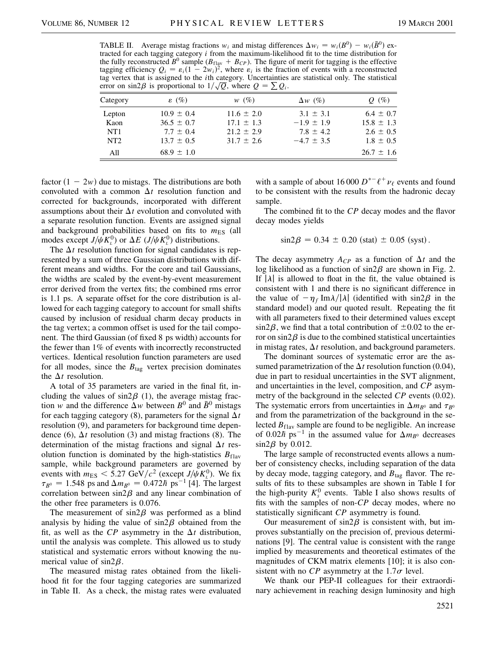TABLE II. Average mistag fractions  $w_i$  and mistag differences  $\Delta w_i = w_i(B^0) - w_i(\bar{B}^0)$  extracted for each tagging category *i* from the maximum-likelihood fit to the time distribution for the fully reconstructed  $B^0$  sample ( $B_{\text{flav}} + B_{\text{CP}}$ ). The figure of merit for tagging is the effective tagging efficiency  $Q_i = \varepsilon_i (1 - 2w_i)^2$ , where  $\varepsilon_i$  is the fraction of events with a reconstructed tag vertex that is assigned to the *i*th category. Uncertainties are statistical only. The statistical tag vertex that is assigned to the *i*th category. Uncertainties error on  $\sin 2\beta$  is proportional to  $1/\sqrt{Q}$ , where  $Q = \sum Q_i$ .

| تنت سے          |                   |                |                |                |  |
|-----------------|-------------------|----------------|----------------|----------------|--|
| Category        | $\varepsilon$ (%) | $w(\%)$        | $\Delta w$ (%) | $Q(\%)$        |  |
| Lepton          | $10.9 \pm 0.4$    | $11.6 \pm 2.0$ | $3.1 \pm 3.1$  | $6.4 \pm 0.7$  |  |
| Kaon            | $36.5 \pm 0.7$    | $17.1 \pm 1.3$ | $-1.9 \pm 1.9$ | $15.8 \pm 1.3$ |  |
| NT <sub>1</sub> | $7.7 \pm 0.4$     | $21.2 \pm 2.9$ | $7.8 \pm 4.2$  | $2.6 \pm 0.5$  |  |
| NT <sub>2</sub> | $13.7 \pm 0.5$    | $31.7 \pm 2.6$ | $-4.7 \pm 3.5$ | $1.8 \pm 0.5$  |  |
| All             | $68.9 \pm 1.0$    |                |                | $26.7 \pm 1.6$ |  |

factor  $(1 - 2w)$  due to mistags. The distributions are both convoluted with a common  $\Delta t$  resolution function and corrected for backgrounds, incorporated with different assumptions about their  $\Delta t$  evolution and convoluted with a separate resolution function. Events are assigned signal and background probabilities based on fits to  $m_{ES}$  (all modes except  $J/\psi K_l^0$  or  $\Delta E$  ( $J/\psi K_l^0$ ) distributions.

The  $\Delta t$  resolution function for signal candidates is represented by a sum of three Gaussian distributions with different means and widths. For the core and tail Gaussians, the widths are scaled by the event-by-event measurement error derived from the vertex fits; the combined rms error is 1.1 ps. A separate offset for the core distribution is allowed for each tagging category to account for small shifts caused by inclusion of residual charm decay products in the tag vertex; a common offset is used for the tail component. The third Gaussian (of fixed 8 ps width) accounts for the fewer than 1% of events with incorrectly reconstructed vertices. Identical resolution function parameters are used for all modes, since the  $B_{\text{tag}}$  vertex precision dominates the  $\Delta t$  resolution.

A total of 35 parameters are varied in the final fit, including the values of  $sin2\beta$  (1), the average mistag fraction *w* and the difference  $\Delta w$  between  $B^0$  and  $\bar{B}^0$  mistags for each tagging category  $(8)$ , parameters for the signal  $\Delta t$ resolution (9), and parameters for background time dependence (6),  $\Delta t$  resolution (3) and mistag fractions (8). The determination of the mistag fractions and signal  $\Delta t$  resolution function is dominated by the high-statistics  $B_{\text{flav}}$ sample, while background parameters are governed by events with  $m_{ES} < 5.27 \text{ GeV}/c^2$  (except  $J/\psi K_l^0$ ). We fix  $\tau_{B^0} = 1.548$  ps and  $\Delta m_{B^0} = 0.472 \hbar$  ps<sup>-1</sup> [4]. The largest correlation between  $\sin 2\beta$  and any linear combination of the other free parameters is 0.076.

The measurement of  $sin2\beta$  was performed as a blind analysis by hiding the value of  $sin2\beta$  obtained from the fit, as well as the *CP* asymmetry in the  $\Delta t$  distribution, until the analysis was complete. This allowed us to study statistical and systematic errors without knowing the numerical value of  $sin2\beta$ .

The measured mistag rates obtained from the likelihood fit for the four tagging categories are summarized in Table II. As a check, the mistag rates were evaluated

with a sample of about 16 000  $D^{*-}\ell^+\nu_\ell$  events and found to be consistent with the results from the hadronic decay sample.

The combined fit to the *CP* decay modes and the flavor decay modes yields

$$
\sin 2\beta = 0.34 \pm 0.20 \text{ (stat)} \pm 0.05 \text{ (syst)}.
$$

The decay asymmetry  $A_{CP}$  as a function of  $\Delta t$  and the log likelihood as a function of  $\sin 2\beta$  are shown in Fig. 2. If  $|\lambda|$  is allowed to float in the fit, the value obtained is consistent with 1 and there is no significant difference in the value of  $-\eta_f$  Im $\lambda/|\lambda|$  (identified with sin2 $\beta$  in the standard model) and our quoted result. Repeating the fit with all parameters fixed to their determined values except  $\sin 2\beta$ , we find that a total contribution of  $\pm 0.02$  to the error on sin2 $\beta$  is due to the combined statistical uncertainties in mistag rates,  $\Delta t$  resolution, and background parameters.

The dominant sources of systematic error are the assumed parametrization of the  $\Delta t$  resolution function (0.04), due in part to residual uncertainties in the SVT alignment, and uncertainties in the level, composition, and *CP* asymmetry of the background in the selected *CP* events (0.02). The systematic errors from uncertainties in  $\Delta m_{B^0}$  and  $\tau_{B^0}$ and from the parametrization of the background in the selected  $B_{\text{flav}}$  sample are found to be negligible. An increase of 0.02 $\hbar$  ps<sup>-1</sup> in the assumed value for  $\Delta m_{B^0}$  decreases  $\sin 2\beta$  by 0.012.

The large sample of reconstructed events allows a number of consistency checks, including separation of the data by decay mode, tagging category, and  $B_{\text{tag}}$  flavor. The results of fits to these subsamples are shown in Table I for the high-purity  $K_s^0$  events. Table I also shows results of fits with the samples of non-*CP* decay modes, where no statistically significant *CP* asymmetry is found.

Our measurement of  $\sin 2\beta$  is consistent with, but improves substantially on the precision of, previous determinations [9]. The central value is consistent with the range implied by measurements and theoretical estimates of the magnitudes of CKM matrix elements [10]; it is also consistent with no *CP* asymmetry at the  $1.7\sigma$  level.

We thank our PEP-II colleagues for their extraordinary achievement in reaching design luminosity and high